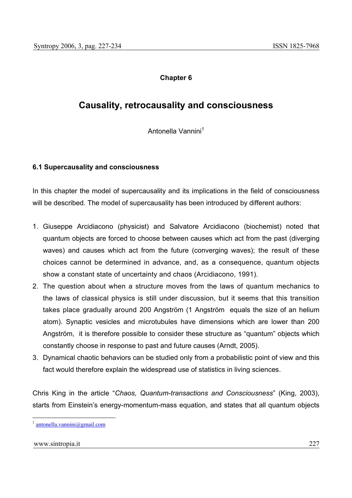## **Chapter 6**

# **Causality, retrocausality and consciousness**

Antonella Vannini<sup>1</sup>

## **6.1 Supercausality and consciousness**

In this chapter the model of supercausality and its implications in the field of consciousness will be described. The model of supercausality has been introduced by different authors:

- 1. Giuseppe Arcidiacono (physicist) and Salvatore Arcidiacono (biochemist) noted that quantum objects are forced to choose between causes which act from the past (diverging waves) and causes which act from the future (converging waves); the result of these choices cannot be determined in advance, and, as a consequence, quantum objects show a constant state of uncertainty and chaos (Arcidiacono, 1991).
- 2. The question about when a structure moves from the laws of quantum mechanics to the laws of classical physics is still under discussion, but it seems that this transition takes place gradually around 200 Angström (1 Angström equals the size of an helium atom). Synaptic vesicles and microtubules have dimensions which are lower than 200 Angström, it is therefore possible to consider these structure as "quantum" objects which constantly choose in response to past and future causes (Arndt, 2005).
- 3. Dynamical chaotic behaviors can be studied only from a probabilistic point of view and this fact would therefore explain the widespread use of statistics in living sciences.

Chris King in the article "*Chaos, Quantum-transactions and Consciousness*" (King, 2003), starts from Einstein's energy-momentum-mass equation, and states that all quantum objects

#### www.sintropia.it 227

 $antonella.vannini@gmail.com$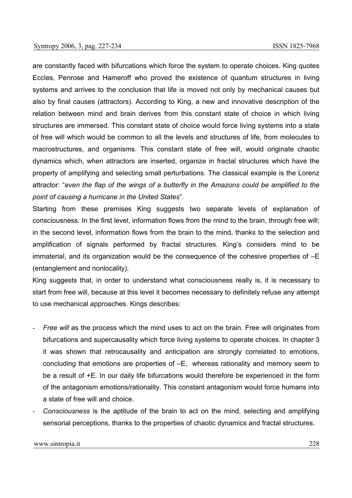are constantly faced with bifurcations which force the system to operate choices. King quotes Eccles, Penrose and Hameroff who proved the existence of quantum structures in living systems and arrives to the conclusion that life is moved not only by mechanical causes but also by final causes (attractors). According to King, a new and innovative description of the relation between mind and brain derives from this constant state of choice in which living structures are immersed. This constant state of choice would force living systems into a state of free will which would be common to all the levels and structures of life, from molecules to macrostructures, and organisms. This constant state of free will, would originate chaotic dynamics which, when attractors are inserted, organize in fractal structures which have the property of amplifying and selecting small perturbations. The classical example is the Lorenz attractor: "*even the flap of the wings of a butterfly in the Amazons could be amplified to the point of causing a hurricane in the United States*".

Starting from these premises King suggests two separate levels of explanation of consciousness. In the first level, information flows from the mind to the brain, through free will; in the second level, information flows from the brain to the mind, thanks to the selection and amplification of signals performed by fractal structures. King's considers mind to be immaterial, and its organization would be the consequence of the cohesive properties of –E (entanglement and nonlocality).

King suggests that, in order to understand what consciousness really is, it is necessary to start from free will, because at this level it becomes necessary to definitely refuse any attempt to use mechanical approaches. Kings describes:

- *Free will* as the process which the mind uses to act on the brain. Free will originates from bifurcations and supercausality which force living systems to operate choices. In chapter 3 it was shown that retrocausality and anticipation are strongly correlated to emotions, concluding that emotions are properties of –E, whereas rationality and memory seem to be a result of +E. In our daily life bifurcations would therefore be experienced in the form of the antagonism emotions/rationality. This constant antagonism would force humans into a state of free will and choice.
- *Consciousness* is the aptitude of the brain to act on the mind, selecting and amplifying sensorial perceptions, thanks to the properties of chaotic dynamics and fractal structures.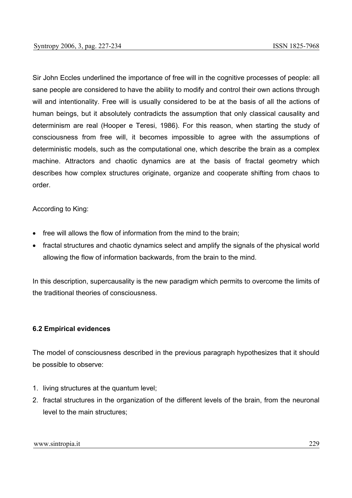Sir John Eccles underlined the importance of free will in the cognitive processes of people: all sane people are considered to have the ability to modify and control their own actions through will and intentionality. Free will is usually considered to be at the basis of all the actions of human beings, but it absolutely contradicts the assumption that only classical causality and determinism are real (Hooper e Teresi, 1986). For this reason, when starting the study of consciousness from free will, it becomes impossible to agree with the assumptions of deterministic models, such as the computational one, which describe the brain as a complex machine. Attractors and chaotic dynamics are at the basis of fractal geometry which describes how complex structures originate, organize and cooperate shifting from chaos to order.

## According to King:

- free will allows the flow of information from the mind to the brain;
- fractal structures and chaotic dynamics select and amplify the signals of the physical world allowing the flow of information backwards, from the brain to the mind.

In this description, supercausality is the new paradigm which permits to overcome the limits of the traditional theories of consciousness.

### **6.2 Empirical evidences**

The model of consciousness described in the previous paragraph hypothesizes that it should be possible to observe:

- 1. living structures at the quantum level;
- 2. fractal structures in the organization of the different levels of the brain, from the neuronal level to the main structures;

www.sintropia.it 229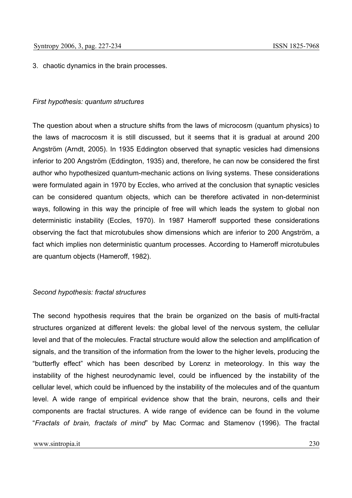3. chaotic dynamics in the brain processes.

#### *First hypothesis: quantum structures*

The question about when a structure shifts from the laws of microcosm (quantum physics) to the laws of macrocosm it is still discussed, but it seems that it is gradual at around 200 Angström (Arndt, 2005). In 1935 Eddington observed that synaptic vesicles had dimensions inferior to 200 Angström (Eddington, 1935) and, therefore, he can now be considered the first author who hypothesized quantum-mechanic actions on living systems. These considerations were formulated again in 1970 by Eccles, who arrived at the conclusion that synaptic vesicles can be considered quantum objects, which can be therefore activated in non-determinist ways, following in this way the principle of free will which leads the system to global non deterministic instability (Eccles, 1970). In 1987 Hameroff supported these considerations observing the fact that microtubules show dimensions which are inferior to 200 Angström, a fact which implies non deterministic quantum processes. According to Hameroff microtubules are quantum objects (Hameroff, 1982).

### *Second hypothesis: fractal structures*

The second hypothesis requires that the brain be organized on the basis of multi-fractal structures organized at different levels: the global level of the nervous system, the cellular level and that of the molecules. Fractal structure would allow the selection and amplification of signals, and the transition of the information from the lower to the higher levels, producing the "butterfly effect" which has been described by Lorenz in meteorology. In this way the instability of the highest neurodynamic level, could be influenced by the instability of the cellular level, which could be influenced by the instability of the molecules and of the quantum level. A wide range of empirical evidence show that the brain, neurons, cells and their components are fractal structures. A wide range of evidence can be found in the volume "*Fractals of brain, fractals of mind*" by Mac Cormac and Stamenov (1996). The fractal

#### www.sintropia.it 230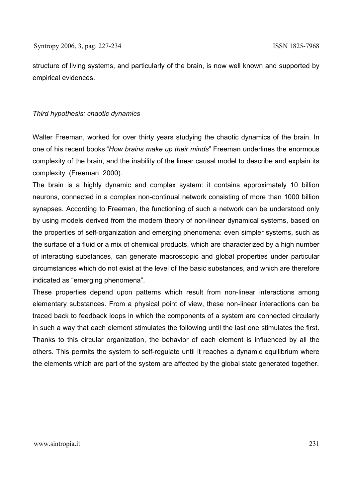structure of living systems, and particularly of the brain, is now well known and supported by empirical evidences.

### *Third hypothesis: chaotic dynamics*

Walter Freeman, worked for over thirty years studying the chaotic dynamics of the brain. In one of his recent books "*How brains make up their minds*" Freeman underlines the enormous complexity of the brain, and the inability of the linear causal model to describe and explain its complexity (Freeman, 2000).

The brain is a highly dynamic and complex system: it contains approximately 10 billion neurons, connected in a complex non-continual network consisting of more than 1000 billion synapses. According to Freeman, the functioning of such a network can be understood only by using models derived from the modern theory of non-linear dynamical systems, based on the properties of self-organization and emerging phenomena: even simpler systems, such as the surface of a fluid or a mix of chemical products, which are characterized by a high number of interacting substances, can generate macroscopic and global properties under particular circumstances which do not exist at the level of the basic substances, and which are therefore indicated as "emerging phenomena".

These properties depend upon patterns which result from non-linear interactions among elementary substances. From a physical point of view, these non-linear interactions can be traced back to feedback loops in which the components of a system are connected circularly in such a way that each element stimulates the following until the last one stimulates the first. Thanks to this circular organization, the behavior of each element is influenced by all the others. This permits the system to self-regulate until it reaches a dynamic equilibrium where the elements which are part of the system are affected by the global state generated together.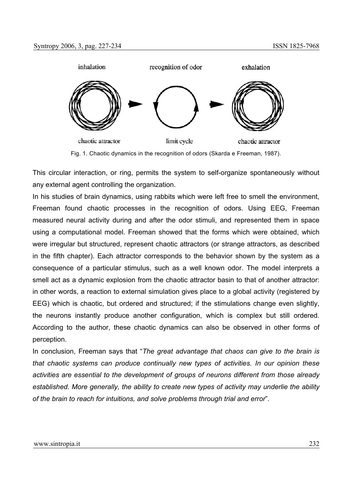

Fig. 1. Chaotic dynamics in the recognition of odors (Skarda e Freeman, 1987).

This circular interaction, or ring, permits the system to self-organize spontaneously without any external agent controlling the organization.

In his studies of brain dynamics, using rabbits which were left free to smell the environment, Freeman found chaotic processes in the recognition of odors. Using EEG, Freeman measured neural activity during and after the odor stimuli, and represented them in space using a computational model. Freeman showed that the forms which were obtained, which were irregular but structured, represent chaotic attractors (or strange attractors, as described in the fifth chapter). Each attractor corresponds to the behavior shown by the system as a consequence of a particular stimulus, such as a well known odor. The model interprets a smell act as a dynamic explosion from the chaotic attractor basin to that of another attractor: in other words, a reaction to external simulation gives place to a global activity (registered by EEG) which is chaotic, but ordered and structured; if the stimulations change even slightly, the neurons instantly produce another configuration, which is complex but still ordered. According to the author, these chaotic dynamics can also be observed in other forms of perception.

In conclusion, Freeman says that "*The great advantage that chaos can give to the brain is that chaotic systems can produce continually new types of activities. In our opinion these activities are essential to the development of groups of neurons different from those already established. More generally, the ability to create new types of activity may underlie the ability of the brain to reach for intuitions, and solve problems through trial and error*".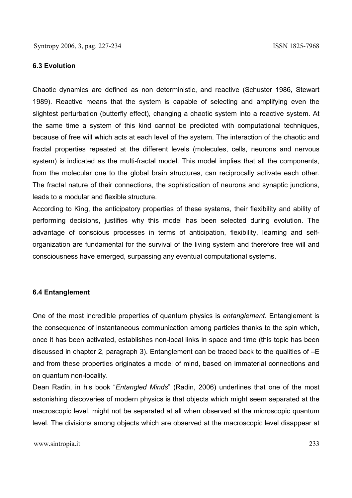#### **6.3 Evolution**

Chaotic dynamics are defined as non deterministic, and reactive (Schuster 1986, Stewart 1989). Reactive means that the system is capable of selecting and amplifying even the slightest perturbation (butterfly effect), changing a chaotic system into a reactive system. At the same time a system of this kind cannot be predicted with computational techniques, because of free will which acts at each level of the system. The interaction of the chaotic and fractal properties repeated at the different levels (molecules, cells, neurons and nervous system) is indicated as the multi-fractal model. This model implies that all the components, from the molecular one to the global brain structures, can reciprocally activate each other. The fractal nature of their connections, the sophistication of neurons and synaptic junctions, leads to a modular and flexible structure.

According to King, the anticipatory properties of these systems, their flexibility and ability of performing decisions, justifies why this model has been selected during evolution. The advantage of conscious processes in terms of anticipation, flexibility, learning and selforganization are fundamental for the survival of the living system and therefore free will and consciousness have emerged, surpassing any eventual computational systems.

#### **6.4 Entanglement**

One of the most incredible properties of quantum physics is *entanglement*. Entanglement is the consequence of instantaneous communication among particles thanks to the spin which, once it has been activated, establishes non-local links in space and time (this topic has been discussed in chapter 2, paragraph 3). Entanglement can be traced back to the qualities of –E and from these properties originates a model of mind, based on immaterial connections and on quantum non-locality.

Dean Radin, in his book "*Entangled Minds*" (Radin, 2006) underlines that one of the most astonishing discoveries of modern physics is that objects which might seem separated at the macroscopic level, might not be separated at all when observed at the microscopic quantum level. The divisions among objects which are observed at the macroscopic level disappear at